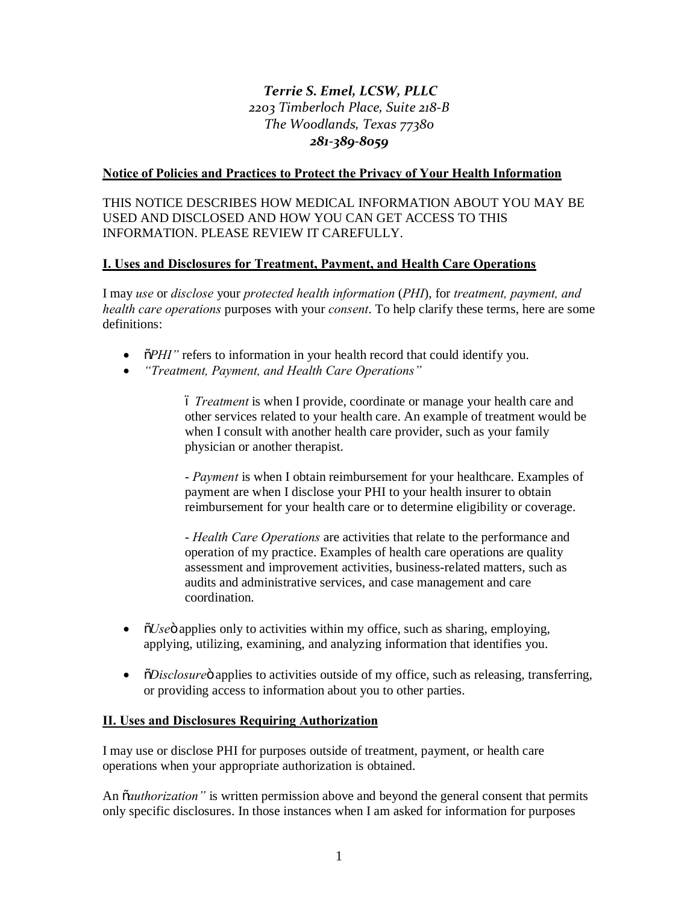# *Terrie S. Emel, LCSW, PLLC 2203 Timberloch Place, Suite 218-B The Woodlands, Texas 77380 281-389-8059*

## **Notice of Policies and Practices to Protect the Privacy of Your Health Information**

THIS NOTICE DESCRIBES HOW MEDICAL INFORMATION ABOUT YOU MAY BE USED AND DISCLOSED AND HOW YOU CAN GET ACCESS TO THIS INFORMATION. PLEASE REVIEW IT CAREFULLY.

### **I. Uses and Disclosures for Treatment, Payment, and Health Care Operations**

I may *use* or *disclose* your *protected health information* (*PHI*), for *treatment, payment, and health care operations* purposes with your *consent*. To help clarify these terms, here are some definitions:

- $\tilde{\rho}$ *PHI*<sup>*"*</sup> refers to information in your health record that could identify you.
- · *"Treatment, Payment, and Health Care Operations"*

– *Treatment* is when I provide, coordinate or manage your health care and other services related to your health care. An example of treatment would be when I consult with another health care provider, such as your family physician or another therapist.

- *Payment* is when I obtain reimbursement for your healthcare. Examples of payment are when I disclose your PHI to your health insurer to obtain reimbursement for your health care or to determine eligibility or coverage.

- *Health Care Operations* are activities that relate to the performance and operation of my practice. Examples of health care operations are quality assessment and improvement activities, business-related matters, such as audits and administrative services, and case management and care coordination.

- $\tilde{\sigma}$ *Use* $\ddot{\sigma}$  applies only to activities within my office, such as sharing, employing, applying, utilizing, examining, and analyzing information that identifies you.
- *SDisclosure* ö applies to activities outside of my office, such as releasing, transferring, or providing access to information about you to other parties.

### **II. Uses and Disclosures Requiring Authorization**

I may use or disclose PHI for purposes outside of treatment, payment, or health care operations when your appropriate authorization is obtained.

An  $\ddot{o}$ *authorization* " is written permission above and beyond the general consent that permits only specific disclosures. In those instances when I am asked for information for purposes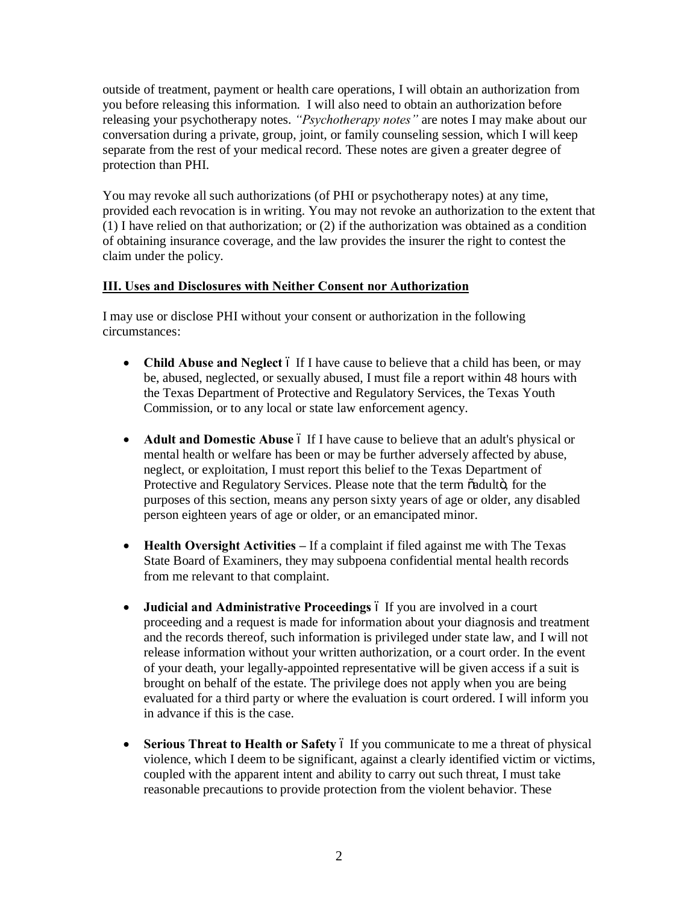outside of treatment, payment or health care operations, I will obtain an authorization from you before releasing this information. I will also need to obtain an authorization before releasing your psychotherapy notes. *"Psychotherapy notes"* are notes I may make about our conversation during a private, group, joint, or family counseling session, which I will keep separate from the rest of your medical record. These notes are given a greater degree of protection than PHI.

You may revoke all such authorizations (of PHI or psychotherapy notes) at any time, provided each revocation is in writing. You may not revoke an authorization to the extent that (1) I have relied on that authorization; or (2) if the authorization was obtained as a condition of obtaining insurance coverage, and the law provides the insurer the right to contest the claim under the policy.

## **III. Uses and Disclosures with Neither Consent nor Authorization**

I may use or disclose PHI without your consent or authorization in the following circumstances:

- **Child Abuse and Neglect** 6 If I have cause to believe that a child has been, or may be, abused, neglected, or sexually abused, I must file a report within 48 hours with the Texas Department of Protective and Regulatory Services, the Texas Youth Commission, or to any local or state law enforcement agency.
- **Adult and Domestic Abuse**  $\acute{o}$  If I have cause to believe that an adult's physical or mental health or welfare has been or may be further adversely affected by abuse, neglect, or exploitation, I must report this belief to the Texas Department of Protective and Regulatory Services. Please note that the term  $\ddot{o}$  adult $\ddot{o}$ , for the purposes of this section, means any person sixty years of age or older, any disabled person eighteen years of age or older, or an emancipated minor.
- **Health Oversight Activities –** If a complaint if filed against me with The Texas State Board of Examiners, they may subpoena confidential mental health records from me relevant to that complaint.
- **Judicial and Administrative Proceedings** 6 If you are involved in a court proceeding and a request is made for information about your diagnosis and treatment and the records thereof, such information is privileged under state law, and I will not release information without your written authorization, or a court order. In the event of your death, your legally-appointed representative will be given access if a suit is brought on behalf of the estate. The privilege does not apply when you are being evaluated for a third party or where the evaluation is court ordered. I will inform you in advance if this is the case.
- Serious Threat to Health or Safety  $\acute{o}$  If you communicate to me a threat of physical violence, which I deem to be significant, against a clearly identified victim or victims, coupled with the apparent intent and ability to carry out such threat, I must take reasonable precautions to provide protection from the violent behavior. These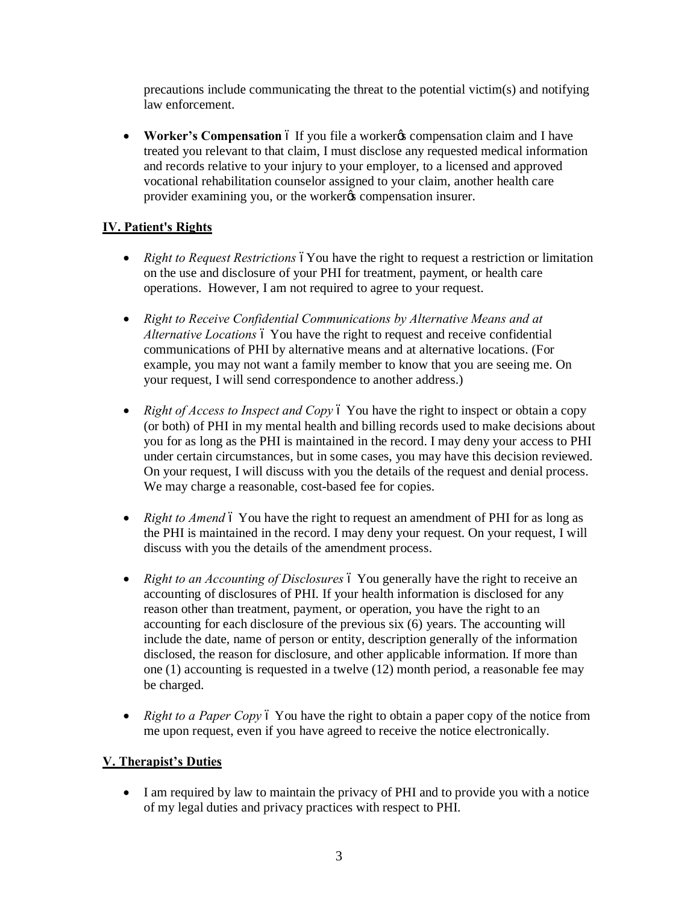precautions include communicating the threat to the potential victim(s) and notifying law enforcement.

• **Worker's Compensation** 6 If you file a worker<sub>/8</sub> compensation claim and I have treated you relevant to that claim, I must disclose any requested medical information and records relative to your injury to your employer, to a licensed and approved vocational rehabilitation counselor assigned to your claim, another health care provider examining you, or the workerys compensation insurer.

# **IV. Patient's Rights**

- *Right to Request Restrictions* 6You have the right to request a restriction or limitation on the use and disclosure of your PHI for treatment, payment, or health care operations. However, I am not required to agree to your request.
- · *Right to Receive Confidential Communications by Alternative Means and at Alternative Locations* 6 You have the right to request and receive confidential communications of PHI by alternative means and at alternative locations. (For example, you may not want a family member to know that you are seeing me. On your request, I will send correspondence to another address.)
- *Right of Access to Inspect and Copy* 6 You have the right to inspect or obtain a copy (or both) of PHI in my mental health and billing records used to make decisions about you for as long as the PHI is maintained in the record. I may deny your access to PHI under certain circumstances, but in some cases, you may have this decision reviewed. On your request, I will discuss with you the details of the request and denial process. We may charge a reasonable, cost-based fee for copies.
- *Right to Amend* 6 You have the right to request an amendment of PHI for as long as the PHI is maintained in the record. I may deny your request. On your request, I will discuss with you the details of the amendment process.
- *Right to an Accounting of Disclosures* 6 You generally have the right to receive an accounting of disclosures of PHI. If your health information is disclosed for any reason other than treatment, payment, or operation, you have the right to an accounting for each disclosure of the previous six (6) years. The accounting will include the date, name of person or entity, description generally of the information disclosed, the reason for disclosure, and other applicable information. If more than one (1) accounting is requested in a twelve (12) month period, a reasonable fee may be charged.
- *Right to a Paper Copy*  $\acute{o}$  You have the right to obtain a paper copy of the notice from me upon request, even if you have agreed to receive the notice electronically.

# **V. Therapist's Duties**

· I am required by law to maintain the privacy of PHI and to provide you with a notice of my legal duties and privacy practices with respect to PHI.